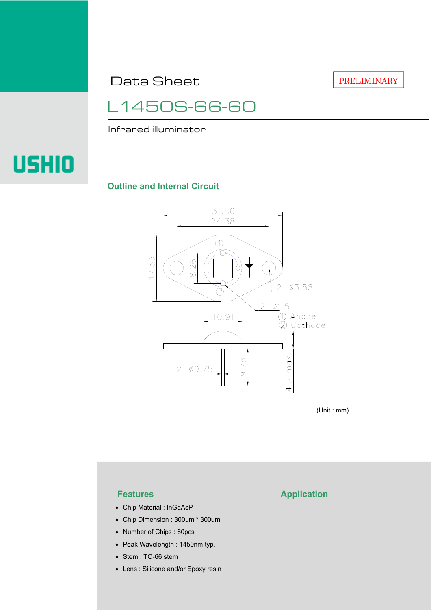Data Sheet

PRELIMINARY

L1450S-66-60

Infrared illuminator

# **USHIO**

## **Outline and Internal Circuit**



(Unit : mm)

- Chip Material : InGaAsP
- Chip Dimension : 300um \* 300um
- Number of Chips : 60pcs
- Peak Wavelength : 1450nm typ.
- Stem : TO-66 stem
- Lens : Silicone and/or Epoxy resin

# **Features Application**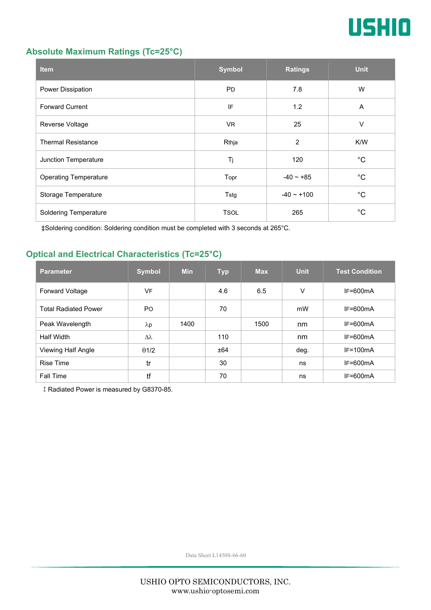

## **Absolute Maximum Ratings (Tc=25°C)**

| <b>Item</b>                  | <b>Symbol</b> | <b>Ratings</b>  | <b>Unit</b> |
|------------------------------|---------------|-----------------|-------------|
| Power Dissipation            | <b>PD</b>     | 7.8             | W           |
| <b>Forward Current</b>       | IF            | 1.2             | A           |
| Reverse Voltage              | <b>VR</b>     | 25              | V           |
| <b>Thermal Resistance</b>    | Rthja         | $\overline{2}$  | K/W         |
| Junction Temperature         | Tj            | 120             | °C          |
| <b>Operating Temperature</b> | Topr          | $-40 - 85$      | °C          |
| Storage Temperature          | Tstg          | $-40 \sim +100$ | °C          |
| <b>Soldering Temperature</b> | <b>TSOL</b>   | 265             | °C          |

‡Soldering condition: Soldering condition must be completed with 3 seconds at 265°C.

# **Optical and Electrical Characteristics (Tc=25°C)**

| <b>Parameter</b>            | <b>Symbol</b>  | <b>Min</b> | <b>Typ</b> | <b>Max</b> | <b>Unit</b> | <b>Test Condition</b> |
|-----------------------------|----------------|------------|------------|------------|-------------|-----------------------|
| <b>Forward Voltage</b>      | VF             |            | 4.6        | 6.5        | V           | $IF=600mA$            |
| <b>Total Radiated Power</b> | P <sub>O</sub> |            | 70         |            | mW          | $IF=600mA$            |
| Peak Wavelength             | $\lambda$ p    | 1400       |            | 1500       | nm          | $IF=600mA$            |
| <b>Half Width</b>           | Δλ             |            | 110        |            | nm          | $IF=600mA$            |
| Viewing Half Angle          | $\theta$ 1/2   |            | ±64        |            | deg.        | $IF=100mA$            |
| <b>Rise Time</b>            | tr             |            | 30         |            | ns          | $IF=600mA$            |
| <b>Fall Time</b>            | tf             |            | 70         |            | ns          | $IF=600mA$            |

‡Radiated Power is measured by G8370-85.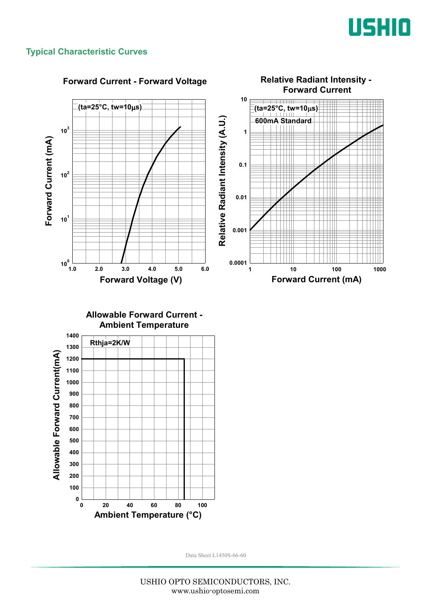

# **Typical Characteristic Curves**

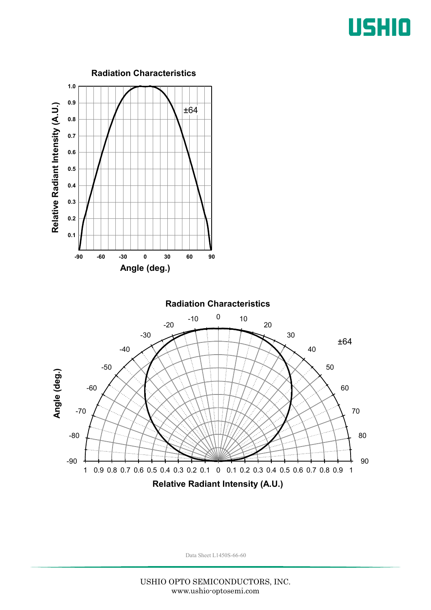# USHIO

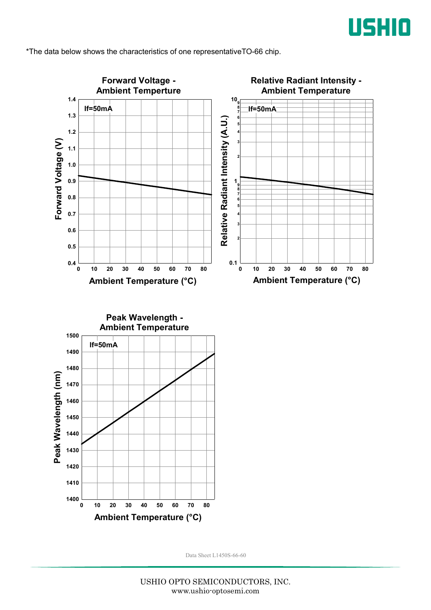

\*The data below shows the characteristics of one representativeTO-66 chip.